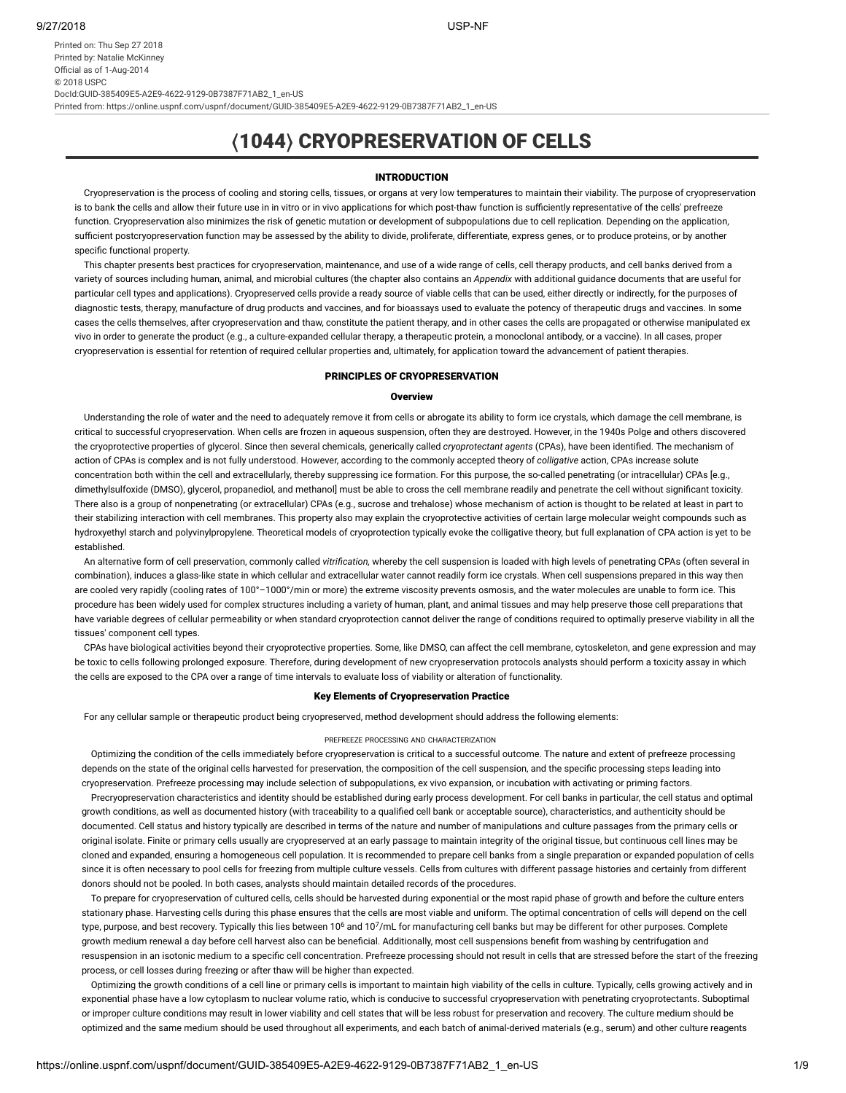Printed on: Thu Sep 27 2018 Printed by: Natalie McKinney Official as of 1-Aug-2014 © 2018 USPC DocId:GUID-385409E5-A2E9-4622-9129-0B7387F71AB2\_1\_en-US

Printed from: https://online.uspnf.com/uspnf/document/GUID-385409E5-A2E9-4622-9129-0B7387F71AB2\_1\_en-US

# 〈1044〉 CRYOPRESERVATION OF CELLS

### INTRODUCTION

Cryopreservation is the process of cooling and storing cells, tissues, or organs at very low temperatures to maintain their viability. The purpose of cryopreservation is to bank the cells and allow their future use in in vitro or in vivo applications for which post-thaw function is sufficiently representative of the cells' prefreeze function. Cryopreservation also minimizes the risk of genetic mutation or development of subpopulations due to cell replication. Depending on the application, sufficient postcryopreservation function may be assessed by the ability to divide, proliferate, differentiate, express genes, or to produce proteins, or by another specific functional property.

This chapter presents best practices for cryopreservation, maintenance, and use of a wide range of cells, cell therapy products, and cell banks derived from a variety of sources including human, animal, and microbial cultures (the chapter also contains an *Appendix* with additional guidance documents that are useful for particular cell types and applications). Cryopreserved cells provide a ready source of viable cells that can be used, either directly or indirectly, for the purposes of diagnostic tests, therapy, manufacture of drug products and vaccines, and for bioassays used to evaluate the potency of therapeutic drugs and vaccines. In some cases the cells themselves, after cryopreservation and thaw, constitute the patient therapy, and in other cases the cells are propagated or otherwise manipulated ex vivo in order to generate the product (e.g., a culture-expanded cellular therapy, a therapeutic protein, a monoclonal antibody, or a vaccine). In all cases, proper cryopreservation is essential for retention of required cellular properties and, ultimately, for application toward the advancement of patient therapies.

# PRINCIPLES OF CRYOPRESERVATION

#### **Overview**

Understanding the role of water and the need to adequately remove it from cells or abrogate its ability to form ice crystals, which damage the cell membrane, is critical to successful cryopreservation. When cells are frozen in aqueous suspension, often they are destroyed. However, in the 1940s Polge and others discovered the cryoprotective properties of glycerol. Since then several chemicals, generically called *cryoprotectant agents* (CPAs), have been identied. The mechanism of action of CPAs is complex and is not fully understood. However, according to the commonly accepted theory of *colligative* action, CPAs increase solute concentration both within the cell and extracellularly, thereby suppressing ice formation. For this purpose, the so-called penetrating (or intracellular) CPAs [e.g., dimethylsulfoxide (DMSO), glycerol, propanediol, and methanoll must be able to cross the cell membrane readily and penetrate the cell without significant toxicity. There also is a group of nonpenetrating (or extracellular) CPAs (e.g., sucrose and trehalose) whose mechanism of action is thought to be related at least in part to their stabilizing interaction with cell membranes. This property also may explain the cryoprotective activities of certain large molecular weight compounds such as hydroxyethyl starch and polyvinylpropylene. Theoretical models of cryoprotection typically evoke the colligative theory, but full explanation of CPA action is yet to be established.

An alternative form of cell preservation, commonly called *vitrication,* whereby the cell suspension is loaded with high levels of penetrating CPAs (often several in combination), induces a glass-like state in which cellular and extracellular water cannot readily form ice crystals. When cell suspensions prepared in this way then are cooled very rapidly (cooling rates of 100°–1000°/min or more) the extreme viscosity prevents osmosis, and the water molecules are unable to form ice. This procedure has been widely used for complex structures including a variety of human, plant, and animal tissues and may help preserve those cell preparations that have variable degrees of cellular permeability or when standard cryoprotection cannot deliver the range of conditions required to optimally preserve viability in all the tissues' component cell types.

CPAs have biological activities beyond their cryoprotective properties. Some, like DMSO, can affect the cell membrane, cytoskeleton, and gene expression and may be toxic to cells following prolonged exposure. Therefore, during development of new cryopreservation protocols analysts should perform a toxicity assay in which the cells are exposed to the CPA over a range of time intervals to evaluate loss of viability or alteration of functionality.

# Key Elements of Cryopreservation Practice

For any cellular sample or therapeutic product being cryopreserved, method development should address the following elements:

#### PREFREEZE PROCESSING AND CHARACTERIZATION

Optimizing the condition of the cells immediately before cryopreservation is critical to a successful outcome. The nature and extent of prefreeze processing depends on the state of the original cells harvested for preservation, the composition of the cell suspension, and the specific processing steps leading into cryopreservation. Prefreeze processing may include selection of subpopulations, ex vivo expansion, or incubation with activating or priming factors.

Precryopreservation characteristics and identity should be established during early process development. For cell banks in particular, the cell status and optimal growth conditions, as well as documented history (with traceability to a qualified cell bank or acceptable source), characteristics, and authenticity should be documented. Cell status and history typically are described in terms of the nature and number of manipulations and culture passages from the primary cells or original isolate. Finite or primary cells usually are cryopreserved at an early passage to maintain integrity of the original tissue, but continuous cell lines may be cloned and expanded, ensuring a homogeneous cell population. It is recommended to prepare cell banks from a single preparation or expanded population of cells since it is often necessary to pool cells for freezing from multiple culture vessels. Cells from cultures with different passage histories and certainly from different donors should not be pooled. In both cases, analysts should maintain detailed records of the procedures.

To prepare for cryopreservation of cultured cells, cells should be harvested during exponential or the most rapid phase of growth and before the culture enters stationary phase. Harvesting cells during this phase ensures that the cells are most viable and uniform. The optimal concentration of cells will depend on the cell type, purpose, and best recovery. Typically this lies between 10<sup>6</sup> and 10<sup>7</sup>/mL for manufacturing cell banks but may be different for other purposes. Complete growth medium renewal a day before cell harvest also can be beneficial. Additionally, most cell suspensions benefit from washing by centrifugation and resuspension in an isotonic medium to a specific cell concentration. Prefreeze processing should not result in cells that are stressed before the start of the freezing process, or cell losses during freezing or after thaw will be higher than expected.

Optimizing the growth conditions of a cell line or primary cells is important to maintain high viability of the cells in culture. Typically, cells growing actively and in exponential phase have a low cytoplasm to nuclear volume ratio, which is conducive to successful cryopreservation with penetrating cryoprotectants. Suboptimal or improper culture conditions may result in lower viability and cell states that will be less robust for preservation and recovery. The culture medium should be optimized and the same medium should be used throughout all experiments, and each batch of animal-derived materials (e.g., serum) and other culture reagents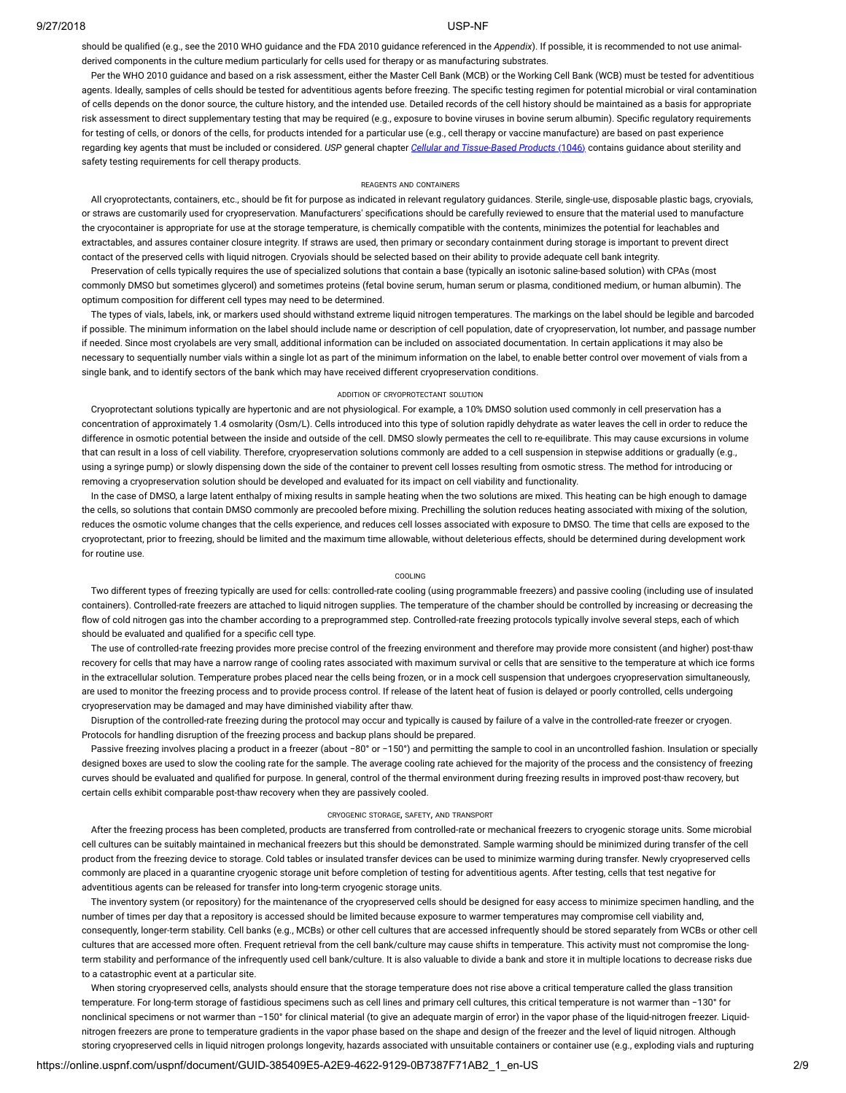should be qualified (e.g., see the 2010 WHO guidance and the FDA 2010 guidance referenced in the *Appendix*). If possible, it is recommended to not use animalderived components in the culture medium particularly for cells used for therapy or as manufacturing substrates.

Per the WHO 2010 guidance and based on a risk assessment, either the Master Cell Bank (MCB) or the Working Cell Bank (WCB) must be tested for adventitious agents. Ideally, samples of cells should be tested for adventitious agents before freezing. The specific testing regimen for potential microbial or viral contamination of cells depends on the donor source, the culture history, and the intended use. Detailed records of the cell history should be maintained as a basis for appropriate risk assessment to direct supplementary testing that may be required (e.g., exposure to bovine viruses in bovine serum albumin). Specific regulatory requirements for testing of cells, or donors of the cells, for products intended for a particular use (e.g., cell therapy or vaccine manufacture) are based on past experience regarding key agents that must be included or considered. *USP* general chapter *Cellular and Tissue-Based Products* (1046) contains guidance about sterility and safety testing requirements for cell therapy products.

#### REAGENTS AND CONTAINERS

All cryoprotectants, containers, etc., should be fit for purpose as indicated in relevant regulatory guidances. Sterile, single-use, disposable plastic bags, cryovials, or straws are customarily used for cryopreservation. Manufacturers' specifications should be carefully reviewed to ensure that the material used to manufacture the cryocontainer is appropriate for use at the storage temperature, is chemically compatible with the contents, minimizes the potential for leachables and extractables, and assures container closure integrity. If straws are used, then primary or secondary containment during storage is important to prevent direct contact of the preserved cells with liquid nitrogen. Cryovials should be selected based on their ability to provide adequate cell bank integrity.

Preservation of cells typically requires the use of specialized solutions that contain a base (typically an isotonic saline-based solution) with CPAs (most commonly DMSO but sometimes glycerol) and sometimes proteins (fetal bovine serum, human serum or plasma, conditioned medium, or human albumin). The optimum composition for different cell types may need to be determined.

The types of vials, labels, ink, or markers used should withstand extreme liquid nitrogen temperatures. The markings on the label should be legible and barcoded if possible. The minimum information on the label should include name or description of cell population, date of cryopreservation, lot number, and passage number if needed. Since most cryolabels are very small, additional information can be included on associated documentation. In certain applications it may also be necessary to sequentially number vials within a single lot as part of the minimum information on the label, to enable better control over movement of vials from a single bank, and to identify sectors of the bank which may have received different cryopreservation conditions.

#### ADDITION OF CRYOPROTECTANT SOLUTION

Cryoprotectant solutions typically are hypertonic and are not physiological. For example, a 10% DMSO solution used commonly in cell preservation has a concentration of approximately 1.4 osmolarity (Osm/L). Cells introduced into this type of solution rapidly dehydrate as water leaves the cell in order to reduce the difference in osmotic potential between the inside and outside of the cell. DMSO slowly permeates the cell to re-equilibrate. This may cause excursions in volume that can result in a loss of cell viability. Therefore, cryopreservation solutions commonly are added to a cell suspension in stepwise additions or gradually (e.g., using a syringe pump) or slowly dispensing down the side of the container to prevent cell losses resulting from osmotic stress. The method for introducing or removing a cryopreservation solution should be developed and evaluated for its impact on cell viability and functionality.

In the case of DMSO, a large latent enthalpy of mixing results in sample heating when the two solutions are mixed. This heating can be high enough to damage the cells, so solutions that contain DMSO commonly are precooled before mixing. Prechilling the solution reduces heating associated with mixing of the solution, reduces the osmotic volume changes that the cells experience, and reduces cell losses associated with exposure to DMSO. The time that cells are exposed to the cryoprotectant, prior to freezing, should be limited and the maximum time allowable, without deleterious effects, should be determined during development work for routine use.

#### COOLING

Two different types of freezing typically are used for cells: controlled-rate cooling (using programmable freezers) and passive cooling (including use of insulated containers). Controlled-rate freezers are attached to liquid nitrogen supplies. The temperature of the chamber should be controlled by increasing or decreasing the flow of cold nitrogen gas into the chamber according to a preprogrammed step. Controlled-rate freezing protocols typically involve several steps, each of which should be evaluated and qualified for a specific cell type.

The use of controlled-rate freezing provides more precise control of the freezing environment and therefore may provide more consistent (and higher) post-thaw recovery for cells that may have a narrow range of cooling rates associated with maximum survival or cells that are sensitive to the temperature at which ice forms in the extracellular solution. Temperature probes placed near the cells being frozen, or in a mock cell suspension that undergoes cryopreservation simultaneously, are used to monitor the freezing process and to provide process control. If release of the latent heat of fusion is delayed or poorly controlled, cells undergoing cryopreservation may be damaged and may have diminished viability after thaw.

Disruption of the controlled-rate freezing during the protocol may occur and typically is caused by failure of a valve in the controlled-rate freezer or cryogen. Protocols for handling disruption of the freezing process and backup plans should be prepared.

Passive freezing involves placing a product in a freezer (about -80° or -150°) and permitting the sample to cool in an uncontrolled fashion. Insulation or specially designed boxes are used to slow the cooling rate for the sample. The average cooling rate achieved for the majority of the process and the consistency of freezing curves should be evaluated and qualified for purpose. In general, control of the thermal environment during freezing results in improved post-thaw recovery, but certain cells exhibit comparable post-thaw recovery when they are passively cooled.

#### CRYOGENIC STORAGE, SAFETY, AND TRANSPORT

After the freezing process has been completed, products are transferred from controlled-rate or mechanical freezers to cryogenic storage units. Some microbial cell cultures can be suitably maintained in mechanical freezers but this should be demonstrated. Sample warming should be minimized during transfer of the cell product from the freezing device to storage. Cold tables or insulated transfer devices can be used to minimize warming during transfer. Newly cryopreserved cells commonly are placed in a quarantine cryogenic storage unit before completion of testing for adventitious agents. After testing, cells that test negative for adventitious agents can be released for transfer into long-term cryogenic storage units.

The inventory system (or repository) for the maintenance of the cryopreserved cells should be designed for easy access to minimize specimen handling, and the number of times per day that a repository is accessed should be limited because exposure to warmer temperatures may compromise cell viability and, consequently, longer-term stability. Cell banks (e.g., MCBs) or other cell cultures that are accessed infrequently should be stored separately from WCBs or other cell cultures that are accessed more often. Frequent retrieval from the cell bank/culture may cause shifts in temperature. This activity must not compromise the longterm stability and performance of the infrequently used cell bank/culture. It is also valuable to divide a bank and store it in multiple locations to decrease risks due to a catastrophic event at a particular site.

When storing cryopreserved cells, analysts should ensure that the storage temperature does not rise above a critical temperature called the glass transition temperature. For long-term storage of fastidious specimens such as cell lines and primary cell cultures, this critical temperature is not warmer than −130° for nonclinical specimens or not warmer than -150° for clinical material (to give an adequate margin of error) in the vapor phase of the liquid-nitrogen freezer. Liquidnitrogen freezers are prone to temperature gradients in the vapor phase based on the shape and design of the freezer and the level of liquid nitrogen. Although storing cryopreserved cells in liquid nitrogen prolongs longevity, hazards associated with unsuitable containers or container use (e.g., exploding vials and rupturing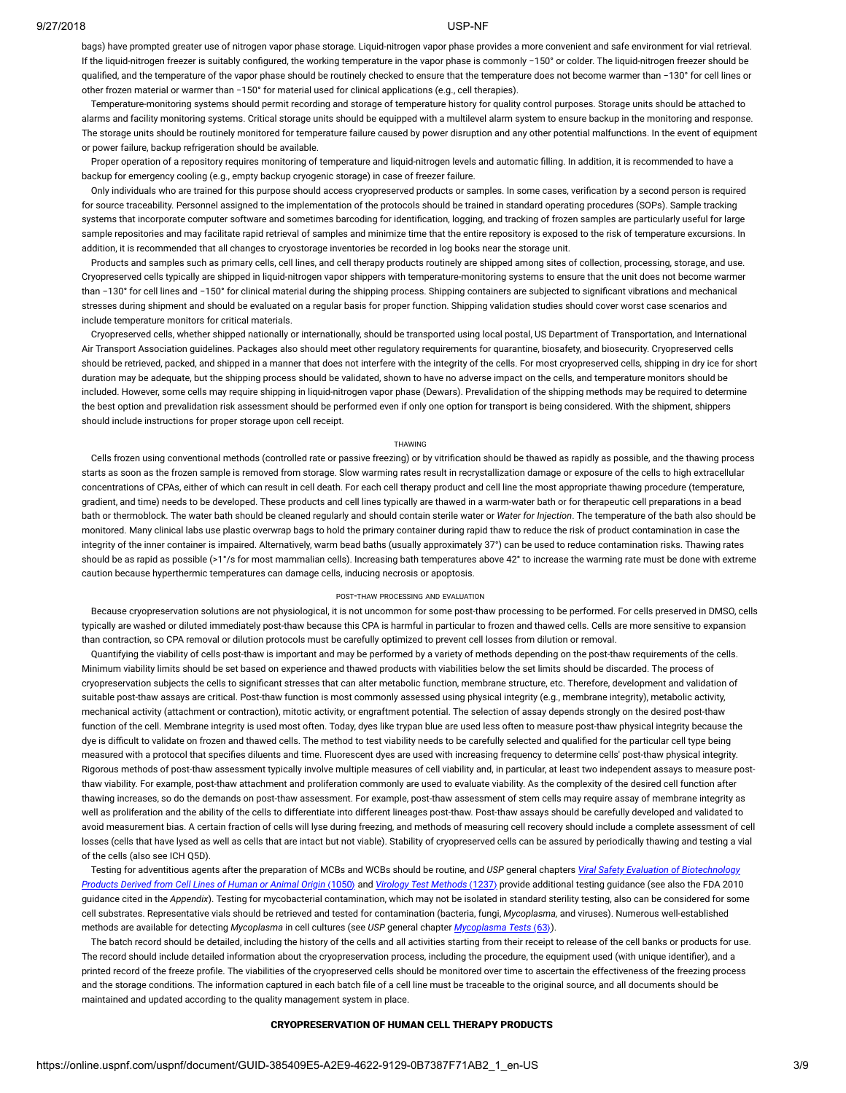bags) have prompted greater use of nitrogen vapor phase storage. Liquid-nitrogen vapor phase provides a more convenient and safe environment for vial retrieval. If the liquid-nitrogen freezer is suitably configured, the working temperature in the vapor phase is commonly −150° or colder. The liquid-nitrogen freezer should be qualified, and the temperature of the vapor phase should be routinely checked to ensure that the temperature does not become warmer than -130° for cell lines or other frozen material or warmer than −150° for material used for clinical applications (e.g., cell therapies).

Temperature-monitoring systems should permit recording and storage of temperature history for quality control purposes. Storage units should be attached to alarms and facility monitoring systems. Critical storage units should be equipped with a multilevel alarm system to ensure backup in the monitoring and response. The storage units should be routinely monitored for temperature failure caused by power disruption and any other potential malfunctions. In the event of equipment or power failure, backup refrigeration should be available.

Proper operation of a repository requires monitoring of temperature and liquid-nitrogen levels and automatic filling. In addition, it is recommended to have a backup for emergency cooling (e.g., empty backup cryogenic storage) in case of freezer failure.

Only individuals who are trained for this purpose should access cryopreserved products or samples. In some cases, verication by a second person is required for source traceability. Personnel assigned to the implementation of the protocols should be trained in standard operating procedures (SOPs). Sample tracking systems that incorporate computer software and sometimes barcoding for identification, logging, and tracking of frozen samples are particularly useful for large sample repositories and may facilitate rapid retrieval of samples and minimize time that the entire repository is exposed to the risk of temperature excursions. In addition, it is recommended that all changes to cryostorage inventories be recorded in log books near the storage unit.

Products and samples such as primary cells, cell lines, and cell therapy products routinely are shipped among sites of collection, processing, storage, and use. Cryopreserved cells typically are shipped in liquid-nitrogen vapor shippers with temperature-monitoring systems to ensure that the unit does not become warmer than −130° for cell lines and −150° for clinical material during the shipping process. Shipping containers are subjected to significant vibrations and mechanical stresses during shipment and should be evaluated on a regular basis for proper function. Shipping validation studies should cover worst case scenarios and include temperature monitors for critical materials.

Cryopreserved cells, whether shipped nationally or internationally, should be transported using local postal, US Department of Transportation, and International Air Transport Association guidelines. Packages also should meet other regulatory requirements for quarantine, biosafety, and biosecurity. Cryopreserved cells should be retrieved, packed, and shipped in a manner that does not interfere with the integrity of the cells. For most cryopreserved cells, shipping in dry ice for short duration may be adequate, but the shipping process should be validated, shown to have no adverse impact on the cells, and temperature monitors should be included. However, some cells may require shipping in liquid-nitrogen vapor phase (Dewars). Prevalidation of the shipping methods may be required to determine the best option and prevalidation risk assessment should be performed even if only one option for transport is being considered. With the shipment, shippers should include instructions for proper storage upon cell receipt.

#### THAWING

Cells frozen using conventional methods (controlled rate or passive freezing) or by vitrication should be thawed as rapidly as possible, and the thawing process starts as soon as the frozen sample is removed from storage. Slow warming rates result in recrystallization damage or exposure of the cells to high extracellular concentrations of CPAs, either of which can result in cell death. For each cell therapy product and cell line the most appropriate thawing procedure (temperature, gradient, and time) needs to be developed. These products and cell lines typically are thawed in a warm-water bath or for therapeutic cell preparations in a bead bath or thermoblock. The water bath should be cleaned regularly and should contain sterile water or *Water for Injection*. The temperature of the bath also should be monitored. Many clinical labs use plastic overwrap bags to hold the primary container during rapid thaw to reduce the risk of product contamination in case the integrity of the inner container is impaired. Alternatively, warm bead baths (usually approximately 37°) can be used to reduce contamination risks. Thawing rates should be as rapid as possible (>1°/s for most mammalian cells). Increasing bath temperatures above 42° to increase the warming rate must be done with extreme caution because hyperthermic temperatures can damage cells, inducing necrosis or apoptosis.

### POST-THAW PROCESSING AND EVALUATION

Because cryopreservation solutions are not physiological, it is not uncommon for some post-thaw processing to be performed. For cells preserved in DMSO, cells typically are washed or diluted immediately post-thaw because this CPA is harmful in particular to frozen and thawed cells. Cells are more sensitive to expansion than contraction, so CPA removal or dilution protocols must be carefully optimized to prevent cell losses from dilution or removal.

Quantifying the viability of cells post-thaw is important and may be performed by a variety of methods depending on the post-thaw requirements of the cells. Minimum viability limits should be set based on experience and thawed products with viabilities below the set limits should be discarded. The process of cryopreservation subjects the cells to significant stresses that can alter metabolic function, membrane structure, etc. Therefore, development and validation of suitable post-thaw assays are critical. Post-thaw function is most commonly assessed using physical integrity (e.g., membrane integrity), metabolic activity, mechanical activity (attachment or contraction), mitotic activity, or engraftment potential. The selection of assay depends strongly on the desired post-thaw function of the cell. Membrane integrity is used most often. Today, dyes like trypan blue are used less often to measure post-thaw physical integrity because the dye is difficult to validate on frozen and thawed cells. The method to test viability needs to be carefully selected and qualified for the particular cell type being measured with a protocol that specifies diluents and time. Fluorescent dyes are used with increasing frequency to determine cells' post-thaw physical integrity. Rigorous methods of post-thaw assessment typically involve multiple measures of cell viability and, in particular, at least two independent assays to measure postthaw viability. For example, post-thaw attachment and proliferation commonly are used to evaluate viability. As the complexity of the desired cell function after thawing increases, so do the demands on post-thaw assessment. For example, post-thaw assessment of stem cells may require assay of membrane integrity as well as proliferation and the ability of the cells to differentiate into different lineages post-thaw. Post-thaw assays should be carefully developed and validated to avoid measurement bias. A certain fraction of cells will lyse during freezing, and methods of measuring cell recovery should include a complete assessment of cell losses (cells that have lysed as well as cells that are intact but not viable). Stability of cryopreserved cells can be assured by periodically thawing and testing a vial of the cells (also see ICH Q5D).

[Testing for adventitious agents after the preparation of MCBs and WCBs should be routine, and](https://online.uspnf.com/uspnf/current-document/GUID-72F7A1BD-306E-41EC-8C84-64FCB73248E1_1_en-US) *USP* general chapters *Viral Safety Evaluation of Biotechnology* Products Derived from Cell Lines of Human or Animal Origin (1050) and [Virology Test Methods](https://online.uspnf.com/uspnf/current-document/GUID-87AC9E35-1CC3-4252-9FC7-BAC52A32D622_1_en-US) (1237) provide additional testing guidance (see also the FDA 2010 guidance cited in the *Appendix*). Testing for mycobacterial contamination, which may not be isolated in standard sterility testing, also can be considered for some cell substrates. Representative vials should be retrieved and tested for contamination (bacteria, fungi, *Mycoplasma,* and viruses). Numerous well-established methods are available for detecting *Mycoplasma* in cell cultures (see *USP* general chapter *[Mycoplasma Tests](https://online.uspnf.com/uspnf/current-document/GUID-05436D42-6984-45C8-9A43-490147FE118A_1_en-US)* 〈63〉).

The batch record should be detailed, including the history of the cells and all activities starting from their receipt to release of the cell banks or products for use. The record should include detailed information about the cryopreservation process, including the procedure, the equipment used (with unique identier), and a printed record of the freeze profile. The viabilities of the cryopreserved cells should be monitored over time to ascertain the effectiveness of the freezing process and the storage conditions. The information captured in each batch file of a cell line must be traceable to the original source, and all documents should be maintained and updated according to the quality management system in place.

# CRYOPRESERVATION OF HUMAN CELL THERAPY PRODUCTS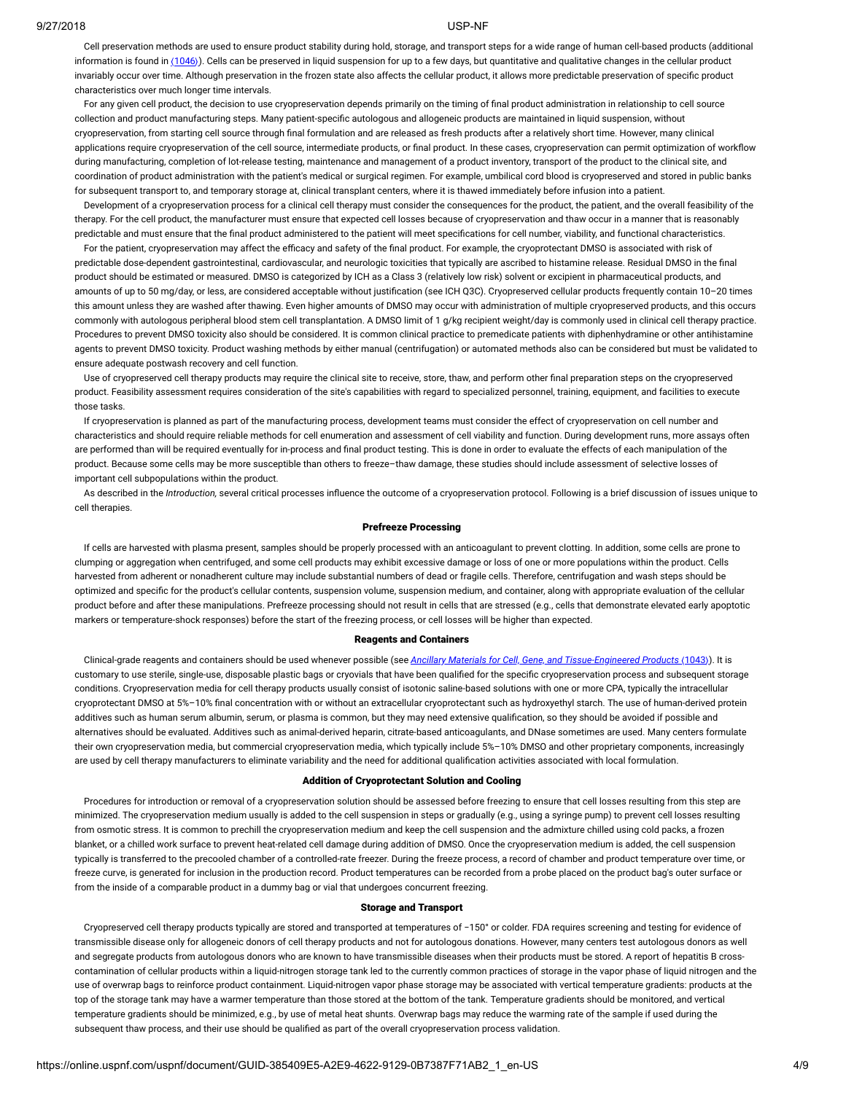Cell preservation methods are used to ensure product stability during hold, storage, and transport steps for a wide range of human cell-based products (additional information is found in  $\langle 1046 \rangle$  $\langle 1046 \rangle$  $\langle 1046 \rangle$ ). Cells can be preserved in liquid suspension for up to a few days, but quantitative and qualitative changes in the cellular product invariably occur over time. Although preservation in the frozen state also affects the cellular product, it allows more predictable preservation of specific product characteristics over much longer time intervals.

For any given cell product, the decision to use cryopreservation depends primarily on the timing of final product administration in relationship to cell source collection and product manufacturing steps. Many patient-specific autologous and allogeneic products are maintained in liquid suspension, without cryopreservation, from starting cell source through final formulation and are released as fresh products after a relatively short time. However, many clinical applications require cryopreservation of the cell source, intermediate products, or final product. In these cases, cryopreservation can permit optimization of workflow during manufacturing, completion of lot-release testing, maintenance and management of a product inventory, transport of the product to the clinical site, and coordination of product administration with the patient's medical or surgical regimen. For example, umbilical cord blood is cryopreserved and stored in public banks for subsequent transport to, and temporary storage at, clinical transplant centers, where it is thawed immediately before infusion into a patient.

Development of a cryopreservation process for a clinical cell therapy must consider the consequences for the product, the patient, and the overall feasibility of the therapy. For the cell product, the manufacturer must ensure that expected cell losses because of cryopreservation and thaw occur in a manner that is reasonably predictable and must ensure that the final product administered to the patient will meet specifications for cell number, viability, and functional characteristics.

For the patient, cryopreservation may affect the efficacy and safety of the final product. For example, the cryoprotectant DMSO is associated with risk of predictable dose-dependent gastrointestinal, cardiovascular, and neurologic toxicities that typically are ascribed to histamine release. Residual DMSO in the final product should be estimated or measured. DMSO is categorized by ICH as a Class 3 (relatively low risk) solvent or excipient in pharmaceutical products, and amounts of up to 50 mg/day, or less, are considered acceptable without justification (see ICH Q3C). Cryopreserved cellular products frequently contain 10-20 times this amount unless they are washed after thawing. Even higher amounts of DMSO may occur with administration of multiple cryopreserved products, and this occurs commonly with autologous peripheral blood stem cell transplantation. A DMSO limit of 1 g/kg recipient weight/day is commonly used in clinical cell therapy practice. Procedures to prevent DMSO toxicity also should be considered. It is common clinical practice to premedicate patients with diphenhydramine or other antihistamine agents to prevent DMSO toxicity. Product washing methods by either manual (centrifugation) or automated methods also can be considered but must be validated to ensure adequate postwash recovery and cell function.

Use of cryopreserved cell therapy products may require the clinical site to receive, store, thaw, and perform other final preparation steps on the cryopreserved product. Feasibility assessment requires consideration of the site's capabilities with regard to specialized personnel, training, equipment, and facilities to execute those tasks.

If cryopreservation is planned as part of the manufacturing process, development teams must consider the effect of cryopreservation on cell number and characteristics and should require reliable methods for cell enumeration and assessment of cell viability and function. During development runs, more assays often are performed than will be required eventually for in-process and final product testing. This is done in order to evaluate the effects of each manipulation of the product. Because some cells may be more susceptible than others to freeze–thaw damage, these studies should include assessment of selective losses of important cell subpopulations within the product.

As described in the *Introduction*, several critical processes influence the outcome of a cryopreservation protocol. Following is a brief discussion of issues unique to cell therapies.

#### Prefreeze Processing

If cells are harvested with plasma present, samples should be properly processed with an anticoagulant to prevent clotting. In addition, some cells are prone to clumping or aggregation when centrifuged, and some cell products may exhibit excessive damage or loss of one or more populations within the product. Cells harvested from adherent or nonadherent culture may include substantial numbers of dead or fragile cells. Therefore, centrifugation and wash steps should be optimized and specific for the product's cellular contents, suspension volume, suspension medium, and container, along with appropriate evaluation of the cellular product before and after these manipulations. Prefreeze processing should not result in cells that are stressed (e.g., cells that demonstrate elevated early apoptotic markers or temperature-shock responses) before the start of the freezing process, or cell losses will be higher than expected.

#### Reagents and Containers

Clinical-grade reagents and containers should be used whenever possible (see *[Ancillary Materials for Cell, Gene, and Tissue-Engineered Products](https://online.uspnf.com/uspnf/current-document/GUID-E00177B0-B754-45B8-9EB7-C69ACEC810FE_1_en-US) (1043*)). It is customary to use sterile, single-use, disposable plastic bags or cryovials that have been qualified for the specific cryopreservation process and subsequent storage conditions. Cryopreservation media for cell therapy products usually consist of isotonic saline-based solutions with one or more CPA, typically the intracellular cryoprotectant DMSO at 5%-10% final concentration with or without an extracellular cryoprotectant such as hydroxyethyl starch. The use of human-derived protein additives such as human serum albumin, serum, or plasma is common, but they may need extensive qualification, so they should be avoided if possible and alternatives should be evaluated. Additives such as animal-derived heparin, citrate-based anticoagulants, and DNase sometimes are used. Many centers formulate their own cryopreservation media, but commercial cryopreservation media, which typically include 5%–10% DMSO and other proprietary components, increasingly are used by cell therapy manufacturers to eliminate variability and the need for additional qualification activities associated with local formulation.

# Addition of Cryoprotectant Solution and Cooling

Procedures for introduction or removal of a cryopreservation solution should be assessed before freezing to ensure that cell losses resulting from this step are minimized. The cryopreservation medium usually is added to the cell suspension in steps or gradually (e.g., using a syringe pump) to prevent cell losses resulting from osmotic stress. It is common to prechill the cryopreservation medium and keep the cell suspension and the admixture chilled using cold packs, a frozen blanket, or a chilled work surface to prevent heat-related cell damage during addition of DMSO. Once the cryopreservation medium is added, the cell suspension typically is transferred to the precooled chamber of a controlled-rate freezer. During the freeze process, a record of chamber and product temperature over time, or freeze curve, is generated for inclusion in the production record. Product temperatures can be recorded from a probe placed on the product bag's outer surface or from the inside of a comparable product in a dummy bag or vial that undergoes concurrent freezing.

#### Storage and Transport

Cryopreserved cell therapy products typically are stored and transported at temperatures of −150° or colder. FDA requires screening and testing for evidence of transmissible disease only for allogeneic donors of cell therapy products and not for autologous donations. However, many centers test autologous donors as well and segregate products from autologous donors who are known to have transmissible diseases when their products must be stored. A report of hepatitis B crosscontamination of cellular products within a liquid-nitrogen storage tank led to the currently common practices of storage in the vapor phase of liquid nitrogen and the use of overwrap bags to reinforce product containment. Liquid-nitrogen vapor phase storage may be associated with vertical temperature gradients: products at the top of the storage tank may have a warmer temperature than those stored at the bottom of the tank. Temperature gradients should be monitored, and vertical temperature gradients should be minimized, e.g., by use of metal heat shunts. Overwrap bags may reduce the warming rate of the sample if used during the subsequent thaw process, and their use should be qualified as part of the overall cryopreservation process validation.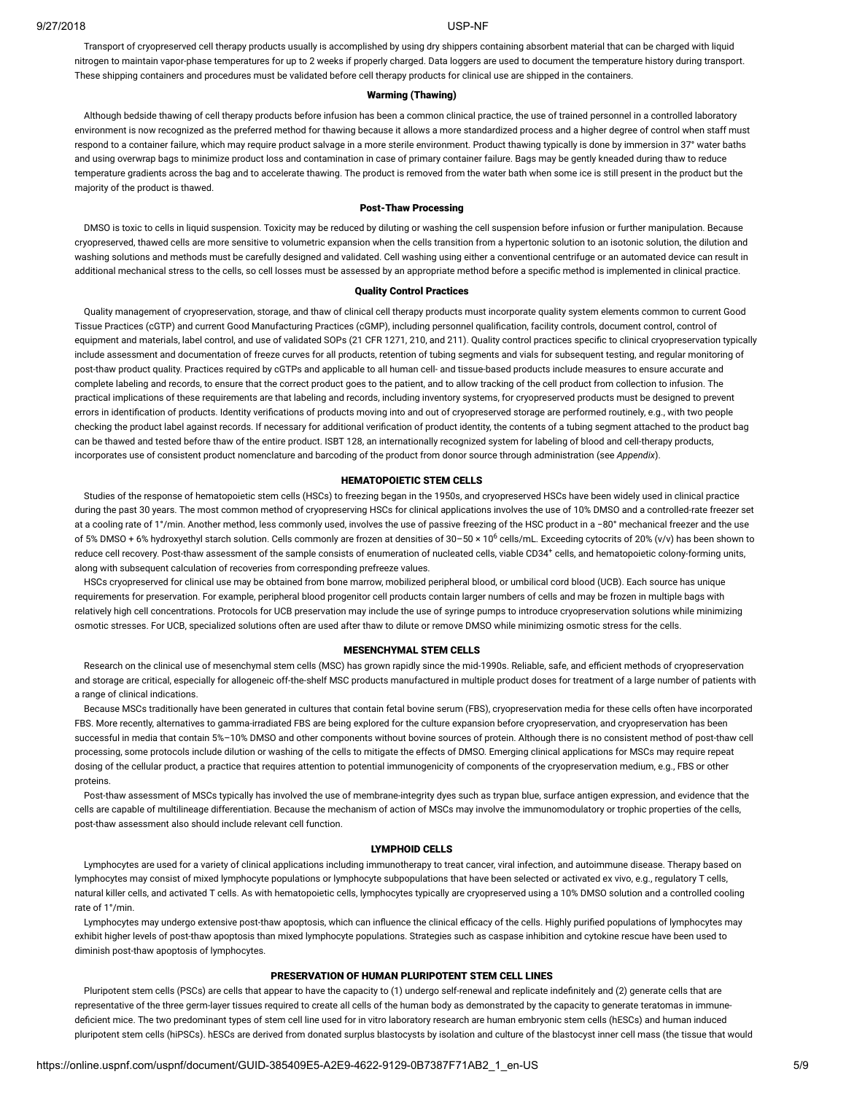Transport of cryopreserved cell therapy products usually is accomplished by using dry shippers containing absorbent material that can be charged with liquid nitrogen to maintain vapor-phase temperatures for up to 2 weeks if properly charged. Data loggers are used to document the temperature history during transport. These shipping containers and procedures must be validated before cell therapy products for clinical use are shipped in the containers.

### Warming (Thawing)

Although bedside thawing of cell therapy products before infusion has been a common clinical practice, the use of trained personnel in a controlled laboratory environment is now recognized as the preferred method for thawing because it allows a more standardized process and a higher degree of control when staff must respond to a container failure, which may require product salvage in a more sterile environment. Product thawing typically is done by immersion in 37° water baths and using overwrap bags to minimize product loss and contamination in case of primary container failure. Bags may be gently kneaded during thaw to reduce temperature gradients across the bag and to accelerate thawing. The product is removed from the water bath when some ice is still present in the product but the majority of the product is thawed.

# Post-Thaw Processing

DMSO is toxic to cells in liquid suspension. Toxicity may be reduced by diluting or washing the cell suspension before infusion or further manipulation. Because cryopreserved, thawed cells are more sensitive to volumetric expansion when the cells transition from a hypertonic solution to an isotonic solution, the dilution and washing solutions and methods must be carefully designed and validated. Cell washing using either a conventional centrifuge or an automated device can result in additional mechanical stress to the cells, so cell losses must be assessed by an appropriate method before a specific method is implemented in clinical practice.

# Quality Control Practices

Quality management of cryopreservation, storage, and thaw of clinical cell therapy products must incorporate quality system elements common to current Good Tissue Practices (cGTP) and current Good Manufacturing Practices (cGMP), including personnel qualification, facility controls, document control, control of equipment and materials, label control, and use of validated SOPs (21 CFR 1271, 210, and 211). Quality control practices specific to clinical cryopreservation typically include assessment and documentation of freeze curves for all products, retention of tubing segments and vials for subsequent testing, and regular monitoring of post-thaw product quality. Practices required by cGTPs and applicable to all human cell- and tissue-based products include measures to ensure accurate and complete labeling and records, to ensure that the correct product goes to the patient, and to allow tracking of the cell product from collection to infusion. The practical implications of these requirements are that labeling and records, including inventory systems, for cryopreserved products must be designed to prevent errors in identification of products. Identity verifications of products moving into and out of cryopreserved storage are performed routinely, e.g., with two people checking the product label against records. If necessary for additional verification of product identity, the contents of a tubing segment attached to the product bag can be thawed and tested before thaw of the entire product. ISBT 128, an internationally recognized system for labeling of blood and cell-therapy products, incorporates use of consistent product nomenclature and barcoding of the product from donor source through administration (see *Appendix*).

# HEMATOPOIETIC STEM CELLS

Studies of the response of hematopoietic stem cells (HSCs) to freezing began in the 1950s, and cryopreserved HSCs have been widely used in clinical practice during the past 30 years. The most common method of cryopreserving HSCs for clinical applications involves the use of 10% DMSO and a controlled-rate freezer set at a cooling rate of 1°/min. Another method, less commonly used, involves the use of passive freezing of the HSC product in a −80° mechanical freezer and the use of 5% DMSO + 6% hydroxyethyl starch solution. Cells commonly are frozen at densities of 30–50 × 10<sup>6</sup> cells/mL. Exceeding cytocrits of 20% (v/v) has been shown to reduce cell recovery. Post-thaw assessment of the sample consists of enumeration of nucleated cells, viable CD34<sup>+</sup> cells, and hematopoietic colony-forming units, along with subsequent calculation of recoveries from corresponding prefreeze values.

HSCs cryopreserved for clinical use may be obtained from bone marrow, mobilized peripheral blood, or umbilical cord blood (UCB). Each source has unique requirements for preservation. For example, peripheral blood progenitor cell products contain larger numbers of cells and may be frozen in multiple bags with relatively high cell concentrations. Protocols for UCB preservation may include the use of syringe pumps to introduce cryopreservation solutions while minimizing osmotic stresses. For UCB, specialized solutions often are used after thaw to dilute or remove DMSO while minimizing osmotic stress for the cells.

# MESENCHYMAL STEM CELLS

Research on the clinical use of mesenchymal stem cells (MSC) has grown rapidly since the mid-1990s. Reliable, safe, and efficient methods of cryopreservation and storage are critical, especially for allogeneic off-the-shelf MSC products manufactured in multiple product doses for treatment of a large number of patients with a range of clinical indications.

Because MSCs traditionally have been generated in cultures that contain fetal bovine serum (FBS), cryopreservation media for these cells often have incorporated FBS. More recently, alternatives to gamma-irradiated FBS are being explored for the culture expansion before cryopreservation, and cryopreservation has been successful in media that contain 5%–10% DMSO and other components without bovine sources of protein. Although there is no consistent method of post-thaw cell processing, some protocols include dilution or washing of the cells to mitigate the effects of DMSO. Emerging clinical applications for MSCs may require repeat dosing of the cellular product, a practice that requires attention to potential immunogenicity of components of the cryopreservation medium, e.g., FBS or other proteins.

Post-thaw assessment of MSCs typically has involved the use of membrane-integrity dyes such as trypan blue, surface antigen expression, and evidence that the cells are capable of multilineage differentiation. Because the mechanism of action of MSCs may involve the immunomodulatory or trophic properties of the cells, post-thaw assessment also should include relevant cell function.

# LYMPHOID CELLS

Lymphocytes are used for a variety of clinical applications including immunotherapy to treat cancer, viral infection, and autoimmune disease. Therapy based on lymphocytes may consist of mixed lymphocyte populations or lymphocyte subpopulations that have been selected or activated ex vivo, e.g., regulatory T cells, natural killer cells, and activated T cells. As with hematopoietic cells, lymphocytes typically are cryopreserved using a 10% DMSO solution and a controlled cooling rate of 1°/min.

Lymphocytes may undergo extensive post-thaw apoptosis, which can influence the clinical efficacy of the cells. Highly purified populations of lymphocytes may exhibit higher levels of post-thaw apoptosis than mixed lymphocyte populations. Strategies such as caspase inhibition and cytokine rescue have been used to diminish post-thaw apoptosis of lymphocytes.

# PRESERVATION OF HUMAN PLURIPOTENT STEM CELL LINES

Pluripotent stem cells (PSCs) are cells that appear to have the capacity to (1) undergo self-renewal and replicate indefinitely and (2) generate cells that are representative of the three germ-layer tissues required to create all cells of the human body as demonstrated by the capacity to generate teratomas in immunedeficient mice. The two predominant types of stem cell line used for in vitro laboratory research are human embryonic stem cells (hESCs) and human induced pluripotent stem cells (hiPSCs). hESCs are derived from donated surplus blastocysts by isolation and culture of the blastocyst inner cell mass (the tissue that would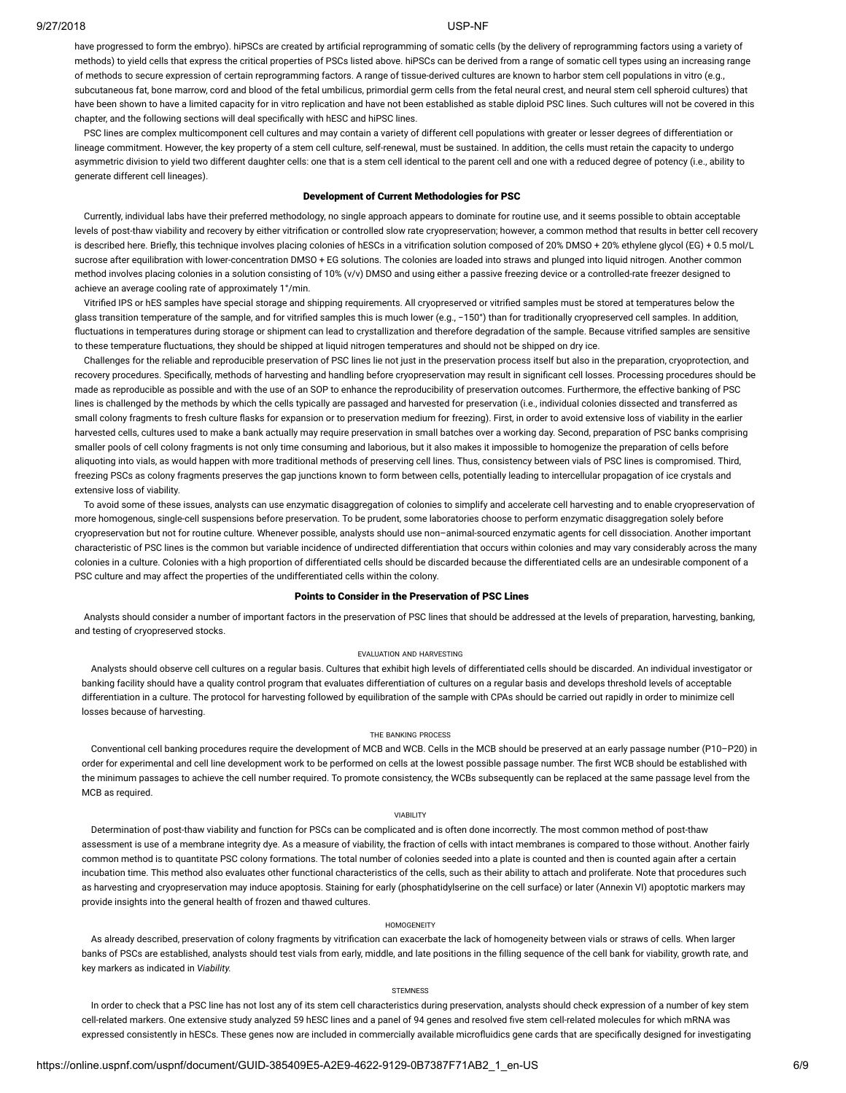have progressed to form the embryo). hiPSCs are created by artificial reprogramming of somatic cells (by the delivery of reprogramming factors using a variety of methods) to yield cells that express the critical properties of PSCs listed above. hiPSCs can be derived from a range of somatic cell types using an increasing range of methods to secure expression of certain reprogramming factors. A range of tissue-derived cultures are known to harbor stem cell populations in vitro (e.g., subcutaneous fat, bone marrow, cord and blood of the fetal umbilicus, primordial germ cells from the fetal neural crest, and neural stem cell spheroid cultures) that have been shown to have a limited capacity for in vitro replication and have not been established as stable diploid PSC lines. Such cultures will not be covered in this chapter, and the following sections will deal specifically with hESC and hiPSC lines.

PSC lines are complex multicomponent cell cultures and may contain a variety of different cell populations with greater or lesser degrees of differentiation or lineage commitment. However, the key property of a stem cell culture, self-renewal, must be sustained. In addition, the cells must retain the capacity to undergo asymmetric division to yield two different daughter cells: one that is a stem cell identical to the parent cell and one with a reduced degree of potency (i.e., ability to generate different cell lineages).

# Development of Current Methodologies for PSC

Currently, individual labs have their preferred methodology, no single approach appears to dominate for routine use, and it seems possible to obtain acceptable levels of post-thaw viability and recovery by either vitrication or controlled slow rate cryopreservation; however, a common method that results in better cell recovery is described here. Briefly, this technique involves placing colonies of hESCs in a vitrification solution composed of 20% DMSO + 20% ethylene qlycol (EG) + 0.5 mol/L sucrose after equilibration with lower-concentration DMSO + EG solutions. The colonies are loaded into straws and plunged into liquid nitrogen. Another common method involves placing colonies in a solution consisting of 10% (v/v) DMSO and using either a passive freezing device or a controlled-rate freezer designed to achieve an average cooling rate of approximately 1°/min.

Vitrified IPS or hES samples have special storage and shipping requirements. All cryopreserved or vitrified samples must be stored at temperatures below the glass transition temperature of the sample, and for vitried samples this is much lower (e.g., −150°) than for traditionally cryopreserved cell samples. In addition, fluctuations in temperatures during storage or shipment can lead to crystallization and therefore degradation of the sample. Because vitrified samples are sensitive to these temperature fluctuations, they should be shipped at liquid nitrogen temperatures and should not be shipped on dry ice.

Challenges for the reliable and reproducible preservation of PSC lines lie not just in the preservation process itself but also in the preparation, cryoprotection, and recovery procedures. Specifically, methods of harvesting and handling before cryopreservation may result in significant cell losses. Processing procedures should be made as reproducible as possible and with the use of an SOP to enhance the reproducibility of preservation outcomes. Furthermore, the effective banking of PSC lines is challenged by the methods by which the cells typically are passaged and harvested for preservation (i.e., individual colonies dissected and transferred as small colony fragments to fresh culture flasks for expansion or to preservation medium for freezing). First, in order to avoid extensive loss of viability in the earlier harvested cells, cultures used to make a bank actually may require preservation in small batches over a working day. Second, preparation of PSC banks comprising smaller pools of cell colony fragments is not only time consuming and laborious, but it also makes it impossible to homogenize the preparation of cells before aliquoting into vials, as would happen with more traditional methods of preserving cell lines. Thus, consistency between vials of PSC lines is compromised. Third, freezing PSCs as colony fragments preserves the gap junctions known to form between cells, potentially leading to intercellular propagation of ice crystals and extensive loss of viability.

To avoid some of these issues, analysts can use enzymatic disaggregation of colonies to simplify and accelerate cell harvesting and to enable cryopreservation of more homogenous, single-cell suspensions before preservation. To be prudent, some laboratories choose to perform enzymatic disaggregation solely before cryopreservation but not for routine culture. Whenever possible, analysts should use non–animal-sourced enzymatic agents for cell dissociation. Another important characteristic of PSC lines is the common but variable incidence of undirected differentiation that occurs within colonies and may vary considerably across the many colonies in a culture. Colonies with a high proportion of differentiated cells should be discarded because the differentiated cells are an undesirable component of a PSC culture and may affect the properties of the undifferentiated cells within the colony.

### Points to Consider in the Preservation of PSC Lines

Analysts should consider a number of important factors in the preservation of PSC lines that should be addressed at the levels of preparation, harvesting, banking, and testing of cryopreserved stocks.

#### EVALUATION AND HARVESTING

Analysts should observe cell cultures on a regular basis. Cultures that exhibit high levels of differentiated cells should be discarded. An individual investigator or banking facility should have a quality control program that evaluates differentiation of cultures on a regular basis and develops threshold levels of acceptable differentiation in a culture. The protocol for harvesting followed by equilibration of the sample with CPAs should be carried out rapidly in order to minimize cell losses because of harvesting.

#### THE BANKING PROCESS

Conventional cell banking procedures require the development of MCB and WCB. Cells in the MCB should be preserved at an early passage number (P10–P20) in order for experimental and cell line development work to be performed on cells at the lowest possible passage number. The first WCB should be established with the minimum passages to achieve the cell number required. To promote consistency, the WCBs subsequently can be replaced at the same passage level from the MCB as required.

#### VIABILITY

Determination of post-thaw viability and function for PSCs can be complicated and is often done incorrectly. The most common method of post-thaw assessment is use of a membrane integrity dye. As a measure of viability, the fraction of cells with intact membranes is compared to those without. Another fairly common method is to quantitate PSC colony formations. The total number of colonies seeded into a plate is counted and then is counted again after a certain incubation time. This method also evaluates other functional characteristics of the cells, such as their ability to attach and proliferate. Note that procedures such as harvesting and cryopreservation may induce apoptosis. Staining for early (phosphatidylserine on the cell surface) or later (Annexin VI) apoptotic markers may provide insights into the general health of frozen and thawed cultures.

# HOMOGENEITY

As already described, preservation of colony fragments by vitrication can exacerbate the lack of homogeneity between vials or straws of cells. When larger banks of PSCs are established, analysts should test vials from early, middle, and late positions in the filling sequence of the cell bank for viability, growth rate, and key markers as indicated in *Viability.*

#### **STEMNESS**

In order to check that a PSC line has not lost any of its stem cell characteristics during preservation, analysts should check expression of a number of key stem cell-related markers. One extensive study analyzed 59 hESC lines and a panel of 94 genes and resolved five stem cell-related molecules for which mRNA was expressed consistently in hESCs. These genes now are included in commercially available microfluidics gene cards that are specifically designed for investigating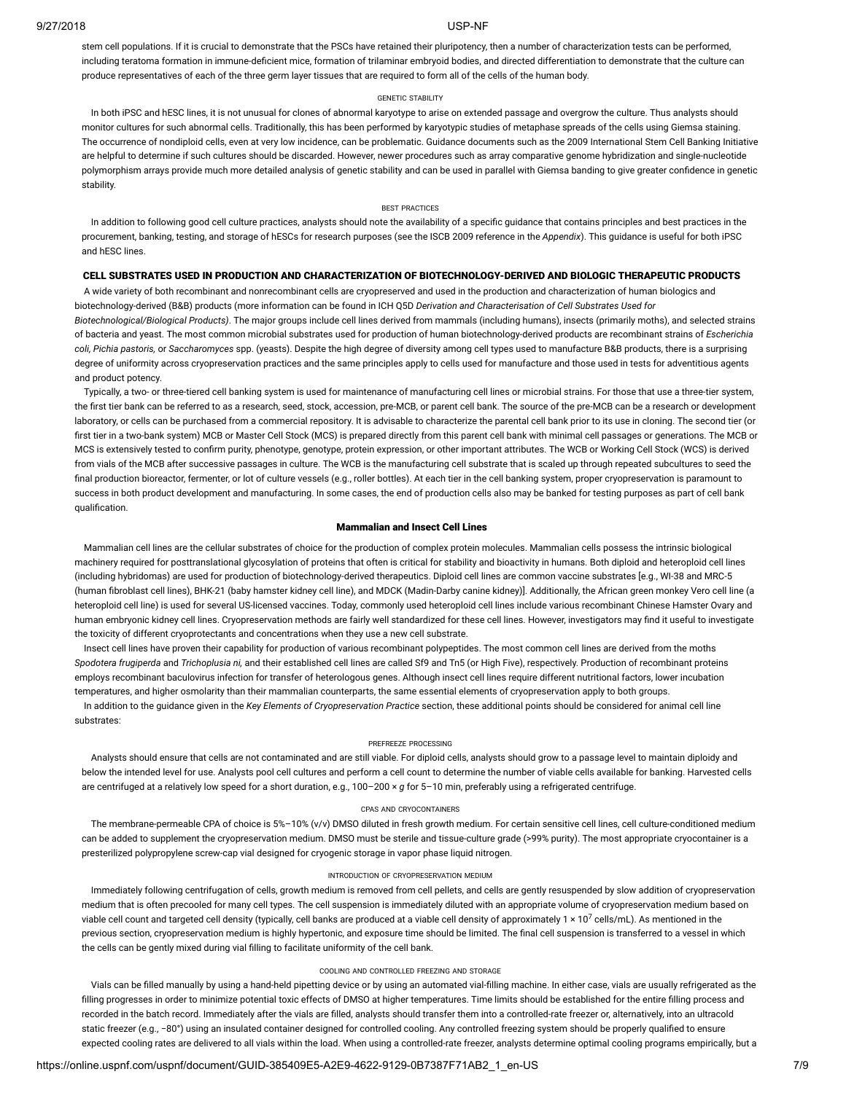stem cell populations. If it is crucial to demonstrate that the PSCs have retained their pluripotency, then a number of characterization tests can be performed, including teratoma formation in immune-deficient mice, formation of trilaminar embryoid bodies, and directed differentiation to demonstrate that the culture can produce representatives of each of the three germ layer tissues that are required to form all of the cells of the human body.

#### GENETIC STABILITY

In both iPSC and hESC lines, it is not unusual for clones of abnormal karyotype to arise on extended passage and overgrow the culture. Thus analysts should monitor cultures for such abnormal cells. Traditionally, this has been performed by karyotypic studies of metaphase spreads of the cells using Giemsa staining. The occurrence of nondiploid cells, even at very low incidence, can be problematic. Guidance documents such as the 2009 International Stem Cell Banking Initiative are helpful to determine if such cultures should be discarded. However, newer procedures such as array comparative genome hybridization and single-nucleotide polymorphism arrays provide much more detailed analysis of genetic stability and can be used in parallel with Giemsa banding to give greater confidence in genetic stability.

# BEST PRACTICES

In addition to following good cell culture practices, analysts should note the availability of a specific guidance that contains principles and best practices in the procurement, banking, testing, and storage of hESCs for research purposes (see the ISCB 2009 reference in the *Appendix*). This guidance is useful for both iPSC and hESC lines.

# CELL SUBSTRATES USED IN PRODUCTION AND CHARACTERIZATION OF BIOTECHNOLOGY-DERIVED AND BIOLOGIC THERAPEUTIC PRODUCTS

A wide variety of both recombinant and nonrecombinant cells are cryopreserved and used in the production and characterization of human biologics and biotechnology-derived (B&B) products (more information can be found in ICH Q5D *Derivation and Characterisation of Cell Substrates Used for*

*Biotechnological/Biological Products)*. The major groups include cell lines derived from mammals (including humans), insects (primarily moths), and selected strains of bacteria and yeast. The most common microbial substrates used for production of human biotechnology-derived products are recombinant strains of *Escherichia coli, Pichia pastoris,* or *Saccharomyces* spp. (yeasts). Despite the high degree of diversity among cell types used to manufacture B&B products, there is a surprising degree of uniformity across cryopreservation practices and the same principles apply to cells used for manufacture and those used in tests for adventitious agents and product potency.

Typically, a two- or three-tiered cell banking system is used for maintenance of manufacturing cell lines or microbial strains. For those that use a three-tier system, the first tier bank can be referred to as a research, seed, stock, accession, pre-MCB, or parent cell bank. The source of the pre-MCB can be a research or development laboratory, or cells can be purchased from a commercial repository. It is advisable to characterize the parental cell bank prior to its use in cloning. The second tier (or first tier in a two-bank system) MCB or Master Cell Stock (MCS) is prepared directly from this parent cell bank with minimal cell passages or generations. The MCB or MCS is extensively tested to conrm purity, phenotype, genotype, protein expression, or other important attributes. The WCB or Working Cell Stock (WCS) is derived from vials of the MCB after successive passages in culture. The WCB is the manufacturing cell substrate that is scaled up through repeated subcultures to seed the final production bioreactor, fermenter, or lot of culture vessels (e.g., roller bottles). At each tier in the cell banking system, proper cryopreservation is paramount to success in both product development and manufacturing. In some cases, the end of production cells also may be banked for testing purposes as part of cell bank qualification.

#### Mammalian and Insect Cell Lines

Mammalian cell lines are the cellular substrates of choice for the production of complex protein molecules. Mammalian cells possess the intrinsic biological machinery required for posttranslational glycosylation of proteins that often is critical for stability and bioactivity in humans. Both diploid and heteroploid cell lines (including hybridomas) are used for production of biotechnology-derived therapeutics. Diploid cell lines are common vaccine substrates [e.g., WI-38 and MRC-5 (human fibroblast cell lines), BHK-21 (baby hamster kidney cell line), and MDCK (Madin-Darby canine kidney)]. Additionally, the African green monkey Vero cell line (a heteroploid cell line) is used for several US-licensed vaccines. Today, commonly used heteroploid cell lines include various recombinant Chinese Hamster Ovary and human embryonic kidney cell lines. Cryopreservation methods are fairly well standardized for these cell lines. However, investigators may find it useful to investigate the toxicity of different cryoprotectants and concentrations when they use a new cell substrate.

Insect cell lines have proven their capability for production of various recombinant polypeptides. The most common cell lines are derived from the moths *Spodotera frugiperda* and *Trichoplusia ni,* and their established cell lines are called Sf9 and Tn5 (or High Five), respectively. Production of recombinant proteins employs recombinant baculovirus infection for transfer of heterologous genes. Although insect cell lines require different nutritional factors, lower incubation temperatures, and higher osmolarity than their mammalian counterparts, the same essential elements of cryopreservation apply to both groups.

In addition to the guidance given in the *Key Elements of Cryopreservation Practice* section, these additional points should be considered for animal cell line substrates:

### PREFREEZE PROCESSING

Analysts should ensure that cells are not contaminated and are still viable. For diploid cells, analysts should grow to a passage level to maintain diploidy and below the intended level for use. Analysts pool cell cultures and perform a cell count to determine the number of viable cells available for banking. Harvested cells are centrifuged at a relatively low speed for a short duration, e.g., 100–200 × *g* for 5–10 min, preferably using a refrigerated centrifuge.

# CPAS AND CRYOCONTAINERS

The membrane-permeable CPA of choice is 5%–10% (v/v) DMSO diluted in fresh growth medium. For certain sensitive cell lines, cell culture-conditioned medium can be added to supplement the cryopreservation medium. DMSO must be sterile and tissue-culture grade (>99% purity). The most appropriate cryocontainer is a presterilized polypropylene screw-cap vial designed for cryogenic storage in vapor phase liquid nitrogen.

### INTRODUCTION OF CRYOPRESERVATION MEDIUM

Immediately following centrifugation of cells, growth medium is removed from cell pellets, and cells are gently resuspended by slow addition of cryopreservation medium that is often precooled for many cell types. The cell suspension is immediately diluted with an appropriate volume of cryopreservation medium based on viable cell count and targeted cell density (typically, cell banks are produced at a viable cell density of approximately 1 × 10<sup>7</sup> cells/mL). As mentioned in the previous section, cryopreservation medium is highly hypertonic, and exposure time should be limited. The final cell suspension is transferred to a vessel in which the cells can be gently mixed during vial filling to facilitate uniformity of the cell bank.

# COOLING AND CONTROLLED FREEZING AND STORAGE

Vials can be filled manually by using a hand-held pipetting device or by using an automated vial-filling machine. In either case, vials are usually refrigerated as the filling progresses in order to minimize potential toxic effects of DMSO at higher temperatures. Time limits should be established for the entire filling process and recorded in the batch record. Immediately after the vials are filled, analysts should transfer them into a controlled-rate freezer or, alternatively, into an ultracold static freezer (e.g., −80°) using an insulated container designed for controlled cooling. Any controlled freezing system should be properly qualified to ensure expected cooling rates are delivered to all vials within the load. When using a controlled-rate freezer, analysts determine optimal cooling programs empirically, but a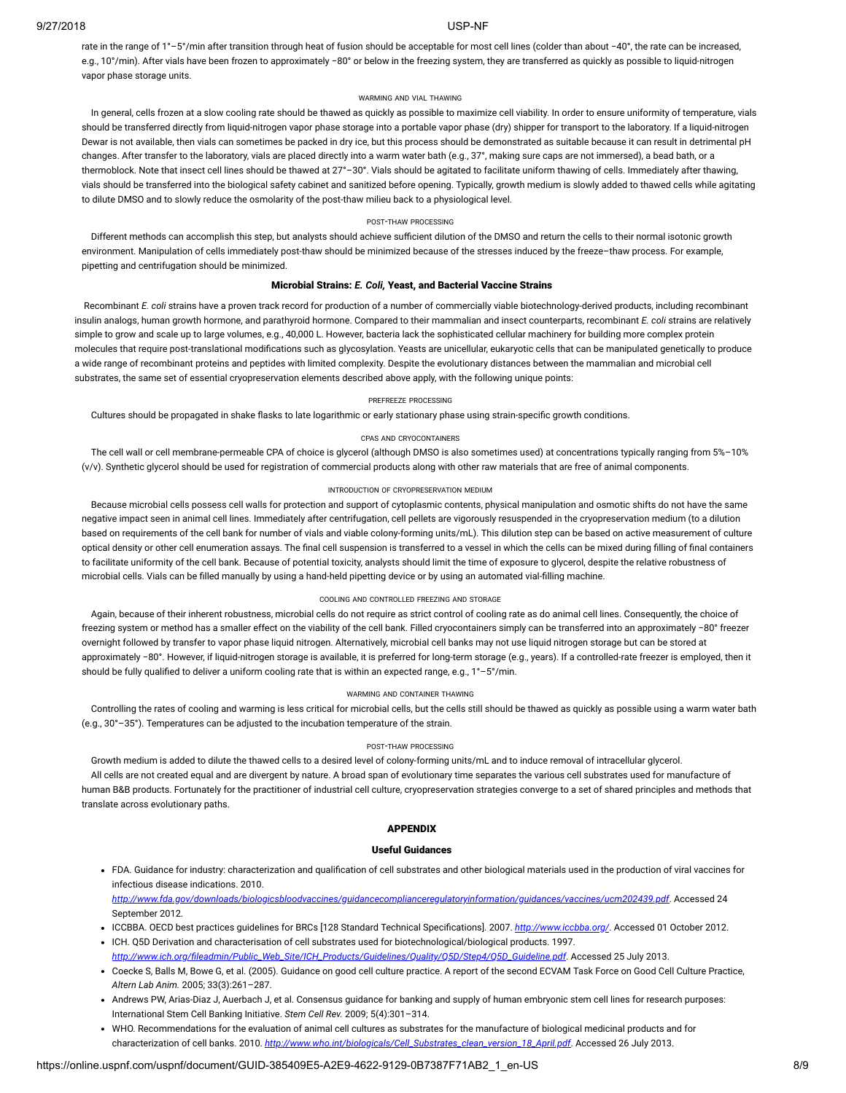rate in the range of 1°–5°/min after transition through heat of fusion should be acceptable for most cell lines (colder than about −40°, the rate can be increased, e.g., 10°/min). After vials have been frozen to approximately −80° or below in the freezing system, they are transferred as quickly as possible to liquid-nitrogen vapor phase storage units.

#### WARMING AND VIAL THAWING

In general, cells frozen at a slow cooling rate should be thawed as quickly as possible to maximize cell viability. In order to ensure uniformity of temperature, vials should be transferred directly from liquid-nitrogen vapor phase storage into a portable vapor phase (dry) shipper for transport to the laboratory. If a liquid-nitrogen Dewar is not available, then vials can sometimes be packed in dry ice, but this process should be demonstrated as suitable because it can result in detrimental pH changes. After transfer to the laboratory, vials are placed directly into a warm water bath (e.g., 37°, making sure caps are not immersed), a bead bath, or a thermoblock. Note that insect cell lines should be thawed at 27°–30°. Vials should be agitated to facilitate uniform thawing of cells. Immediately after thawing, vials should be transferred into the biological safety cabinet and sanitized before opening. Typically, growth medium is slowly added to thawed cells while agitating to dilute DMSO and to slowly reduce the osmolarity of the post-thaw milieu back to a physiological level.

# POST-THAW PROCESSING

Different methods can accomplish this step, but analysts should achieve sufficient dilution of the DMSO and return the cells to their normal isotonic growth environment. Manipulation of cells immediately post-thaw should be minimized because of the stresses induced by the freeze–thaw process. For example, pipetting and centrifugation should be minimized.

### Microbial Strains: *E. Coli,* Yeast, and Bacterial Vaccine Strains

Recombinant *E. coli* strains have a proven track record for production of a number of commercially viable biotechnology-derived products, including recombinant insulin analogs, human growth hormone, and parathyroid hormone. Compared to their mammalian and insect counterparts, recombinant *E. coli* strains are relatively simple to grow and scale up to large volumes, e.g., 40,000 L. However, bacteria lack the sophisticated cellular machinery for building more complex protein molecules that require post-translational modifications such as glycosylation. Yeasts are unicellular, eukaryotic cells that can be manipulated genetically to produce a wide range of recombinant proteins and peptides with limited complexity. Despite the evolutionary distances between the mammalian and microbial cell substrates, the same set of essential cryopreservation elements described above apply, with the following unique points:

# PREFREEZE PROCESSING

Cultures should be propagated in shake flasks to late logarithmic or early stationary phase using strain-specific growth conditions.

# CPAS AND CRYOCONTAINERS

The cell wall or cell membrane-permeable CPA of choice is glycerol (although DMSO is also sometimes used) at concentrations typically ranging from 5%–10% (v/v). Synthetic glycerol should be used for registration of commercial products along with other raw materials that are free of animal components.

#### INTRODUCTION OF CRYOPRESERVATION MEDIUM

Because microbial cells possess cell walls for protection and support of cytoplasmic contents, physical manipulation and osmotic shifts do not have the same negative impact seen in animal cell lines. Immediately after centrifugation, cell pellets are vigorously resuspended in the cryopreservation medium (to a dilution based on requirements of the cell bank for number of vials and viable colony-forming units/mL). This dilution step can be based on active measurement of culture optical density or other cell enumeration assays. The final cell suspension is transferred to a vessel in which the cells can be mixed during filling of final containers to facilitate uniformity of the cell bank. Because of potential toxicity, analysts should limit the time of exposure to glycerol, despite the relative robustness of microbial cells. Vials can be filled manually by using a hand-held pipetting device or by using an automated vial-filling machine.

# COOLING AND CONTROLLED FREEZING AND STORAGE

Again, because of their inherent robustness, microbial cells do not require as strict control of cooling rate as do animal cell lines. Consequently, the choice of freezing system or method has a smaller effect on the viability of the cell bank. Filled cryocontainers simply can be transferred into an approximately −80° freezer overnight followed by transfer to vapor phase liquid nitrogen. Alternatively, microbial cell banks may not use liquid nitrogen storage but can be stored at approximately −80°. However, if liquid-nitrogen storage is available, it is preferred for long-term storage (e.g., years). If a controlled-rate freezer is employed, then it should be fully qualified to deliver a uniform cooling rate that is within an expected range, e.g., 1°-5°/min.

#### WARMING AND CONTAINER THAWING

Controlling the rates of cooling and warming is less critical for microbial cells, but the cells still should be thawed as quickly as possible using a warm water bath (e.g., 30°–35°). Temperatures can be adjusted to the incubation temperature of the strain.

#### POST-THAW PROCESSING

Growth medium is added to dilute the thawed cells to a desired level of colony-forming units/mL and to induce removal of intracellular glycerol.

All cells are not created equal and are divergent by nature. A broad span of evolutionary time separates the various cell substrates used for manufacture of human B&B products. Fortunately for the practitioner of industrial cell culture, cryopreservation strategies converge to a set of shared principles and methods that translate across evolutionary paths.

# APPENDIX

# Useful Guidances

• FDA. Guidance for industry: characterization and qualification of cell substrates and other biological materials used in the production of viral vaccines for infectious disease indications. 2010. *[http://www.fda.gov/downloads/biologicsbloodvaccines/guidancecomplianceregulatoryinformation/guidances/vaccines/ucm202439.pdf](http://www.fda.gov/DOWNLOADS/BIOLOGICSBLOODVACCINES/GUIDANCECOMPLIANCEREGULATORYINFORMATION/GUIDANCES/VACCINES/UCM202439.PDF)*. Accessed 24

September 2012.

- ICCBBA. OECD best practices guidelines for BRCs [128 Standard Technical Specifications]. 2007. *<http://www.iccbba.org/>*. Accessed 01 October 2012.
- ICH. Q5D Derivation and characterisation of cell substrates used for biotechnological/biological products. 1997. *[http://www.ich.org/leadmin/Public\\_Web\\_Site/ICH\\_Products/Guidelines/Quality/Q5D/Step4/Q5D\\_Guideline.pdf](http://www.ich.org/FILEADMIN/PUBLIC_WEB_SITE/ICH_PRODUCTS/GUIDELINES/QUALITY/Q5D/STEP4/Q5D_GUIDELINE.PDF)*. Accessed 25 July 2013.
- Coecke S, Balls M, Bowe G, et al. (2005). Guidance on good cell culture practice. A report of the second ECVAM Task Force on Good Cell Culture Practice, *Altern Lab Anim.* 2005; 33(3):261–287.
- Andrews PW, Arias-Diaz J, Auerbach J, et al. Consensus guidance for banking and supply of human embryonic stem cell lines for research purposes: International Stem Cell Banking Initiative. *Stem Cell Rev.* 2009; 5(4):301–314.
- WHO. Recommendations for the evaluation of animal cell cultures as substrates for the manufacture of biological medicinal products and for characterization of cell banks. 2010. *[http://www.who.int/biologicals/Cell\\_Substrates\\_clean\\_version\\_18\\_April.pdf](http://www.who.int/BIOLOGICALS/CELL_SUBSTRATES_CLEAN_VERSION_18_APRIL.PDF)*. Accessed 26 July 2013.